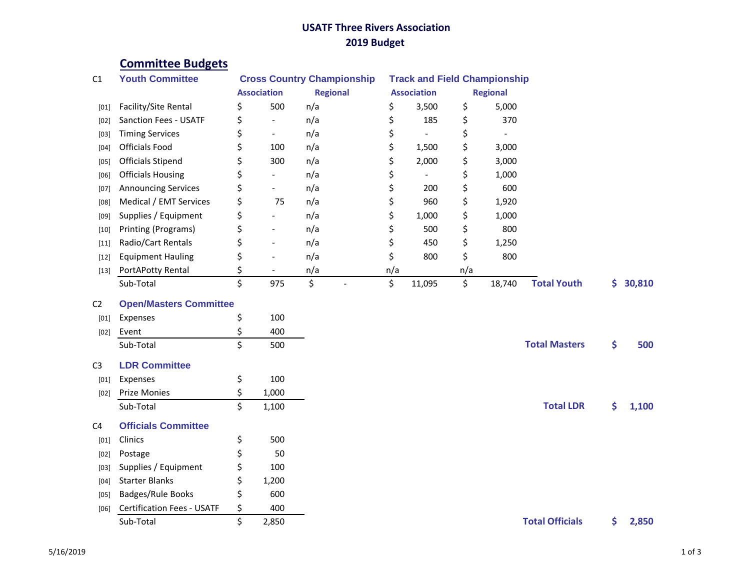## **USATF Three Rivers Association 2019 Budget**

## **Committee Budgets**

| C1             | <b>Youth Committee</b>            | <b>Cross Country Championship</b> |                          |                 | <b>Track and Field Championship</b> |                    |                 |        |                        |     |        |
|----------------|-----------------------------------|-----------------------------------|--------------------------|-----------------|-------------------------------------|--------------------|-----------------|--------|------------------------|-----|--------|
|                |                                   | <b>Association</b>                |                          | <b>Regional</b> |                                     | <b>Association</b> | <b>Regional</b> |        |                        |     |        |
| [01]           | Facility/Site Rental              | \$                                | 500                      | n/a             | \$                                  | 3,500              | \$              | 5,000  |                        |     |        |
| [02]           | Sanction Fees - USATF             | \$                                | $\blacksquare$           | n/a             | \$                                  | 185                | \$              | 370    |                        |     |        |
| $[03]$         | <b>Timing Services</b>            | \$                                | $\overline{\phantom{a}}$ | n/a             | \$                                  |                    | \$              |        |                        |     |        |
| [04]           | Officials Food                    | \$                                | 100                      | n/a             | \$                                  | 1,500              | \$              | 3,000  |                        |     |        |
| $[05]$         | <b>Officials Stipend</b>          | \$                                | 300                      | n/a             | \$                                  | 2,000              | \$              | 3,000  |                        |     |        |
| [06]           | <b>Officials Housing</b>          | \$                                | $\blacksquare$           | n/a             | \$                                  |                    | \$              | 1,000  |                        |     |        |
| $[07]$         | <b>Announcing Services</b>        | \$                                |                          | n/a             | \$                                  | 200                | \$              | 600    |                        |     |        |
| [08]           | Medical / EMT Services            | \$                                | 75                       | n/a             | \$                                  | 960                | \$              | 1,920  |                        |     |        |
| [09]           | Supplies / Equipment              | \$                                | $\overline{\phantom{a}}$ | n/a             | \$                                  | 1,000              | \$              | 1,000  |                        |     |        |
| $[10]$         | Printing (Programs)               | \$                                | $\overline{\phantom{a}}$ | n/a             | \$                                  | 500                | \$              | 800    |                        |     |        |
| $[11]$         | Radio/Cart Rentals                | \$                                | $\blacksquare$           | n/a             | \$                                  | 450                | \$              | 1,250  |                        |     |        |
| $[12]$         | <b>Equipment Hauling</b>          | \$                                | $\overline{a}$           | n/a             | \$                                  | 800                | \$              | 800    |                        |     |        |
| $[13]$         | PortAPotty Rental                 | \$                                |                          | n/a             | n/a                                 |                    | n/a             |        |                        |     |        |
|                | Sub-Total                         | \$                                | 975                      | \$              | \$                                  | 11,095             | \$              | 18,740 | <b>Total Youth</b>     | \$. | 30,810 |
| C <sub>2</sub> | <b>Open/Masters Committee</b>     |                                   |                          |                 |                                     |                    |                 |        |                        |     |        |
| [01]           | Expenses                          | \$                                | 100                      |                 |                                     |                    |                 |        |                        |     |        |
|                | Event                             | \$                                | 400                      |                 |                                     |                    |                 |        |                        |     |        |
| $[02]$         | Sub-Total                         | \$                                | 500                      |                 |                                     |                    |                 |        | <b>Total Masters</b>   | \$  | 500    |
|                |                                   |                                   |                          |                 |                                     |                    |                 |        |                        |     |        |
| C <sub>3</sub> | <b>LDR Committee</b>              |                                   |                          |                 |                                     |                    |                 |        |                        |     |        |
| [01]           | Expenses                          | \$                                | 100                      |                 |                                     |                    |                 |        |                        |     |        |
| $[02]$         | Prize Monies                      | \$                                | 1,000                    |                 |                                     |                    |                 |        |                        |     |        |
|                | Sub-Total                         | \$                                | 1,100                    |                 |                                     |                    |                 |        | <b>Total LDR</b>       | \$  | 1,100  |
| C <sub>4</sub> | <b>Officials Committee</b>        |                                   |                          |                 |                                     |                    |                 |        |                        |     |        |
| $[01]$         | Clinics                           | \$                                | 500                      |                 |                                     |                    |                 |        |                        |     |        |
| [02]           | Postage                           | \$                                | 50                       |                 |                                     |                    |                 |        |                        |     |        |
| $[03]$         | Supplies / Equipment              | \$                                | 100                      |                 |                                     |                    |                 |        |                        |     |        |
| [04]           | <b>Starter Blanks</b>             | \$                                | 1,200                    |                 |                                     |                    |                 |        |                        |     |        |
| [05]           | <b>Badges/Rule Books</b>          | \$                                | 600                      |                 |                                     |                    |                 |        |                        |     |        |
| [06]           | <b>Certification Fees - USATF</b> | \$                                | 400                      |                 |                                     |                    |                 |        |                        |     |        |
|                | Sub-Total                         | \$                                | 2,850                    |                 |                                     |                    |                 |        | <b>Total Officials</b> | \$  | 2,850  |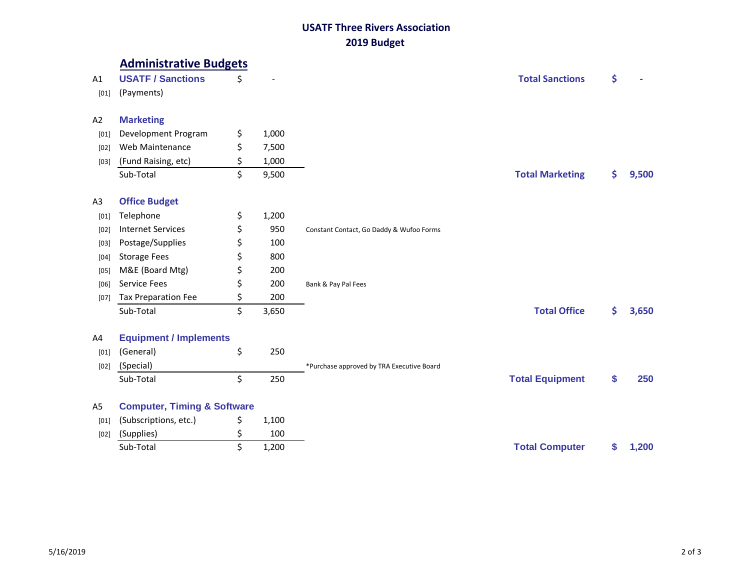## **USATF Three Rivers Association 2019 Budget**

|                | <b>Administrative Budgets</b>          |             |                                           |    |       |
|----------------|----------------------------------------|-------------|-------------------------------------------|----|-------|
| A1             | <b>USATF / Sanctions</b>               | \$          | <b>Total Sanctions</b>                    | \$ |       |
| [01]           | (Payments)                             |             |                                           |    |       |
|                |                                        |             |                                           |    |       |
| A2             | <b>Marketing</b>                       |             |                                           |    |       |
| [01]           | Development Program                    | \$<br>1,000 |                                           |    |       |
| [02]           | Web Maintenance                        | \$<br>7,500 |                                           |    |       |
| $[03]$         | (Fund Raising, etc)                    | \$<br>1,000 |                                           |    |       |
|                | Sub-Total                              | \$<br>9,500 | <b>Total Marketing</b>                    | \$ | 9,500 |
|                |                                        |             |                                           |    |       |
| A <sub>3</sub> | <b>Office Budget</b>                   |             |                                           |    |       |
| [01]           | Telephone                              | \$<br>1,200 |                                           |    |       |
| [02]           | <b>Internet Services</b>               | \$<br>950   | Constant Contact, Go Daddy & Wufoo Forms  |    |       |
| [03]           | Postage/Supplies                       | \$<br>100   |                                           |    |       |
| [04]           | <b>Storage Fees</b>                    | \$<br>800   |                                           |    |       |
| [05]           | M&E (Board Mtg)                        | \$<br>200   |                                           |    |       |
| [06]           | Service Fees                           | \$<br>200   | Bank & Pay Pal Fees                       |    |       |
| [07]           | Tax Preparation Fee                    | \$<br>200   |                                           |    |       |
|                | Sub-Total                              | \$<br>3,650 | <b>Total Office</b>                       | \$ | 3,650 |
| A4             | <b>Equipment / Implements</b>          |             |                                           |    |       |
| [01]           | (General)                              | \$<br>250   |                                           |    |       |
| $[02]$         | (Special)                              |             | *Purchase approved by TRA Executive Board |    |       |
|                | Sub-Total                              | \$<br>250   | <b>Total Equipment</b>                    | S  | 250   |
| A5             | <b>Computer, Timing &amp; Software</b> |             |                                           |    |       |
| [01]           | (Subscriptions, etc.)                  | \$<br>1,100 |                                           |    |       |
| [02]           | (Supplies)                             | \$<br>100   |                                           |    |       |
|                | Sub-Total                              | \$<br>1,200 | <b>Total Computer</b>                     | \$ | 1,200 |